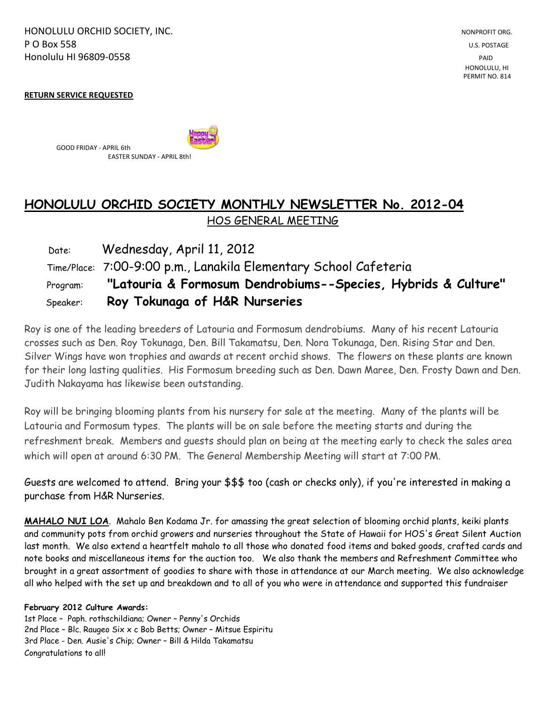HONOLULU ORCHID SOCIETY, INC. NONPROFIT ORG. NONPROFIT ORG. NONPROFIT ORG. **P O Box 558** U.S. POSTAGE Honolulu HI 96809-0558 PAID

 HONOLULU, HI PERMIT NO. 814

**RETURN SERVICE REQUESTED** 

GOOD FRIDAY - APRIL 6th EASTER SUNDAY - APRIL 8th!

# **HONOLULU ORCHID SOCIETY MONTHLY NEWSLETTER No. 2012-04**  HOS GENERAL MEETING

| Date:    | Wednesday, April 11, 2012                                        |
|----------|------------------------------------------------------------------|
|          | Time/Place: 7:00-9:00 p.m., Lanakila Elementary School Cafeteria |
| Program: | "Latouria & Formosum Dendrobiums--Species, Hybrids & Culture"    |
| Speaker: | Roy Tokunaga of H&R Nurseries                                    |

Roy is one of the leading breeders of Latouria and Formosum dendrobiums. Many of his recent Latouria crosses such as Den. Roy Tokunaga, Den. Bill Takamatsu, Den. Nora Tokunaga, Den. Rising Star and Den. Silver Wings have won trophies and awards at recent orchid shows. The flowers on these plants are known for their long lasting qualities. His Formosum breeding such as Den. Dawn Maree, Den. Frosty Dawn and Den. Judith Nakayama has likewise been outstanding.

Roy will be bringing blooming plants from his nursery for sale at the meeting. Many of the plants will be Latouria and Formosum types. The plants will be on sale before the meeting starts and during the refreshment break. Members and guests should plan on being at the meeting early to check the sales area which will open at around 6:30 PM. The General Membership Meeting will start at 7:00 PM.

Guests are welcomed to attend. Bring your \$\$\$ too (cash or checks only), if you're interested in making a purchase from H&R Nurseries.

**MAHALO NUI LOA**. Mahalo Ben Kodama Jr. for amassing the great selection of blooming orchid plants, keiki plants and community pots from orchid growers and nurseries throughout the State of Hawaii for HOS's Great Silent Auction last month. We also extend a heartfelt mahalo to all those who donated food items and baked goods, crafted cards and note books and miscellaneous items for the auction too. We also thank the members and Refreshment Committee who brought in a great assortment of goodies to share with those in attendance at our March meeting. We also acknowledge all who helped with the set up and breakdown and to all of you who were in attendance and supported this fundraiser

**February 2012 Culture Awards:**

1st Place – Paph. rothschildiana; Owner – Penny's Orchids 2nd Place – Blc. Raugeo Six x c Bob Betts; Owner – Mitsue Espiritu 3rd Place - Den. Ausie's Chip; Owner – Bill & Hilda Takamatsu Congratulations to all!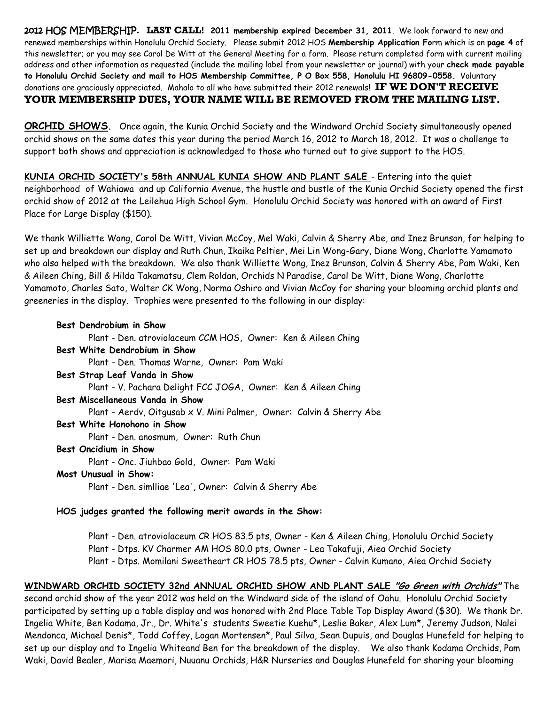2012 HOS MEMBERSHIP. **LAST CALL! 2011 membership expired December 31, 2011**. We look forward to new and renewed memberships within Honolulu Orchid Society. Please submit 2012 HOS **Membership Application Fo**rm which is on **page 4** of this newsletter; or you may see Carol De Witt at the General Meeting for a form. Please return completed form with current mailing address and other information as requested (include the mailing label from your newsletter or journal) with your **check made payable to Honolulu Orchid Society and mail to HOS Membership Committee, P O Box 558, Honolulu HI 96809-0558.** Voluntary donations are graciously appreciated. Mahalo to all who have submitted their 2012 renewals! **IF WE DON'T RECEIVE YOUR MEMBERSHIP DUES, YOUR NAME WILL BE REMOVED FROM THE MAILING LIST.**

**ORCHID SHOWS.** Once again, the Kunia Orchid Society and the Windward Orchid Society simultaneously opened orchid shows on the same dates this year during the period March 16, 2012 to March 18, 2012. It was a challenge to support both shows and appreciation is acknowledged to those who turned out to give support to the HOS.

**KUNIA ORCHID SOCIETY's 58th ANNUAL KUNIA SHOW AND PLANT SALE** - Entering into the quiet neighborhood of Wahiawa and up California Avenue, the hustle and bustle of the Kunia Orchid Society opened the first orchid show of 2012 at the Leilehua High School Gym. Honolulu Orchid Society was honored with an award of First Place for Large Display (\$150).

We thank Williette Wong, Carol De Witt, Vivian McCoy, Mel Waki, Calvin & Sherry Abe, and Inez Brunson, for helping to set up and breakdown our display and Ruth Chun, Ikaika Peltier, Mei Lin Wong-Gary, Diane Wong, Charlotte Yamamoto who also helped with the breakdown. We also thank Williette Wong, Inez Brunson, Calvin & Sherry Abe, Pam Waki, Ken & Aileen Ching, Bill & Hilda Takamatsu, Clem Roldan, Orchids N Paradise, Carol De Witt, Diane Wong, Charlotte Yamamoto, Charles Sato, Walter CK Wong, Norma Oshiro and Vivian McCoy for sharing your blooming orchid plants and greeneries in the display. Trophies were presented to the following in our display:

| Best Dendrobium in Show                                       |  |
|---------------------------------------------------------------|--|
| Plant - Den. atroviolaceum CCM HOS, Owner: Ken & Aileen Ching |  |
| Best White Dendrobium in Show                                 |  |

Plant - Den. Thomas Warne, Owner: Pam Waki

#### **Best Strap Leaf Vanda in Show**

Plant - V. Pachara Delight FCC JOGA, Owner: Ken & Aileen Ching

#### **Best Miscellaneous Vanda in Show**

Plant - Aerdv, Oitgusab x V. Mini Palmer, Owner: Calvin & Sherry Abe

#### **Best White Honohono in Show**

Plant - Den. anosmum, Owner: Ruth Chun

#### **Best Oncidium in Show**

Plant - Onc. Jiuhbao Gold, Owner: Pam Waki

#### **Most Unusual in Show:**

Plant - Den. simlliae 'Lea', Owner: Calvin & Sherry Abe

#### **HOS judges granted the following merit awards in the Show:**

Plant - Den. atroviolaceum CR HOS 83.5 pts, Owner - Ken & Aileen Ching, Honolulu Orchid Society Plant - Dtps. KV Charmer AM HOS 80.0 pts, Owner - Lea Takafuji, Aiea Orchid Society Plant - Dtps. Momilani Sweetheart CR HOS 78.5 pts, Owner - Calvin Kumano, Aiea Orchid Society

## **WINDWARD ORCHID SOCIETY 32nd ANNUAL ORCHID SHOW AND PLANT SALE "Go Green with Orchids"** The

second orchid show of the year 2012 was held on the Windward side of the island of Oahu. Honolulu Orchid Society participated by setting up a table display and was honored with 2nd Place Table Top Display Award (\$30). We thank Dr. Ingelia White, Ben Kodama, Jr., Dr. White's students Sweetie Kuehu\*, Leslie Baker, Alex Lum\*, Jeremy Judson, Nalei Mendonca, Michael Denis\*, Todd Coffey, Logan Mortensen\*, Paul Silva, Sean Dupuis, and Douglas Hunefeld for helping to set up our display and to Ingelia Whiteand Ben for the breakdown of the display. We also thank Kodama Orchids, Pam Waki, David Bealer, Marisa Maemori, Nuuanu Orchids, H&R Nurseries and Douglas Hunefeld for sharing your blooming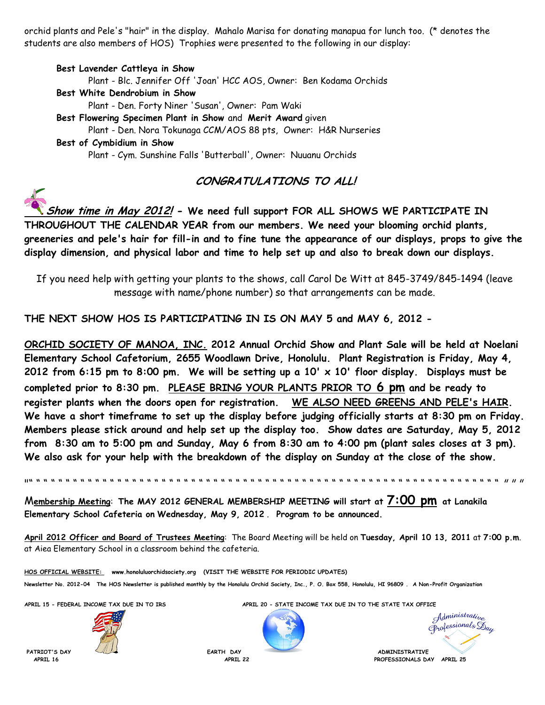orchid plants and Pele's "hair" in the display. Mahalo Marisa for donating manapua for lunch too. (\* denotes the students are also members of HOS) Trophies were presented to the following in our display:

### **Best Lavender Cattleya in Show** Plant - Blc. Jennifer Off 'Joan' HCC AOS, Owner: Ben Kodama Orchids **Best White Dendrobium in Show** Plant - Den. Forty Niner 'Susan', Owner: Pam Waki **Best Flowering Specimen Plant in Show** and **Merit Award** given Plant - Den. Nora Tokunaga CCM/AOS 88 pts, Owner: H&R Nurseries **Best of Cymbidium in Show** Plant - Cym. Sunshine Falls 'Butterball', Owner: Nuuanu Orchids

# **CONGRATULATIONS TO ALL!**

**Show time in May 2012! - We need full support FOR ALL SHOWS WE PARTICIPATE IN THROUGHOUT THE CALENDAR YEAR from our members. We need your blooming orchid plants, greeneries and pele's hair for fill-in and to fine tune the appearance of our displays, props to give the display dimension, and physical labor and time to help set up and also to break down our displays.**

If you need help with getting your plants to the shows, call Carol De Witt at 845-3749/845-1494 (leave message with name/phone number) so that arrangements can be made.

**THE NEXT SHOW HOS IS PARTICIPATING IN IS ON MAY 5 and MAY 6, 2012 -**

**ORCHID SOCIETY OF MANOA, INC. 2012 Annual Orchid Show and Plant Sale will be held at Noelani Elementary School Cafetorium, 2655 Woodlawn Drive, Honolulu. Plant Registration is Friday, May 4, 2012 from 6:15 pm to 8:00 pm. We will be setting up a 10' x 10' floor display. Displays must be completed prior to 8:30 pm. PLEASE BRING YOUR PLANTS PRIOR TO 6 pm and be ready to register plants when the doors open for registration. WE ALSO NEED GREENS AND PELE's HAIR. We have a short timeframe to set up the display before judging officially starts at 8:30 pm on Friday. Members please stick around and help set up the display too. Show dates are Saturday, May 5, 2012 from 8:30 am to 5:00 pm and Sunday, May 6 from 8:30 am to 4:00 pm (plant sales closes at 3 pm). We also ask for your help with the breakdown of the display on Sunday at the close of the show.**

"" " " " " " " " " " " " " " " " " " " " " " " " " " " " " " " " " " " " " " " " " " " " " " " " " " " " " " " " " " " " " " " " " " "

M**embership Meeting**: **The MAY 2012 GENERAL MEMBERSHIP MEETING will start at 7:00 pm at Lanakila Elementary School Cafeteria on Wednesday, May 9, 2012** . **Program to be announced.** 

**April 2012 Officer and Board of Trustees Meeting**: The Board Meeting will be held on **Tuesday, April 10 13, 2011** at **7:00 p.m**. at Aiea Elementary School in a classroom behind the cafeteria.

**HOS OFFICIAL WEBSITE: www.honoluluorchidsociety.org (VISIT THE WEBSITE FOR PERIODIC UPDATES) Newsletter No. 2012-04 The HOS Newsletter is published monthly by the Honolulu Orchid Society, Inc., P. O. Box 558, Honolulu, HI 96809 . A Non-Profit Organization**



**APRIL 15 - FEDERAL INCOME TAX DUE IN TO IRS APRIL 20 - STATE INCOME TAX DUE IN TO THE STATE TAX OFFICE**



Administrative Orofessionals Day

**PATRIOT'S DAY EARTH DAY ADMINISTRATIVE APRIL 16 APRIL 22 PROFESSIONALS DAY APRIL 25**